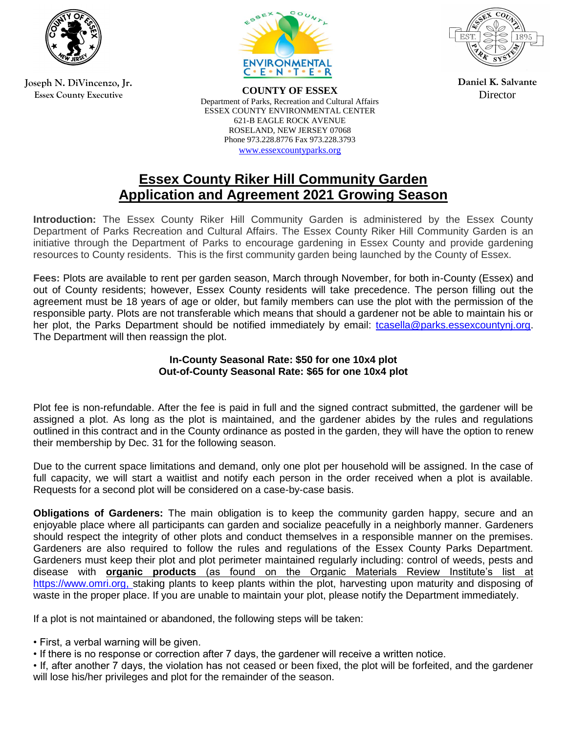

**Joseph N. DiVincenzo, Jr. Essex County Executive**



**COUNTY OF ESSEX** Department of Parks, Recreation and Cultural Affairs ESSEX COUNTY ENVIRONMENTAL CENTER 621-B EAGLE ROCK AVENUE ROSELAND, NEW JERSEY 07068 Phone 973.228.8776 Fax 973.228.3793 [www.essexcountyparks.org](http://www.essexcountyparks.org/)



**Daniel K. Salvante Director** 

## **Essex County Riker Hill Community Garden Application and Agreement 2021 Growing Season**

**Introduction:** The Essex County Riker Hill Community Garden is administered by the Essex County Department of Parks Recreation and Cultural Affairs. The Essex County Riker Hill Community Garden is an initiative through the Department of Parks to encourage gardening in Essex County and provide gardening resources to County residents. This is the first community garden being launched by the County of Essex.

**Fees:** Plots are available to rent per garden season, March through November, for both in-County (Essex) and out of County residents; however, Essex County residents will take precedence. The person filling out the agreement must be 18 years of age or older, but family members can use the plot with the permission of the responsible party. Plots are not transferable which means that should a gardener not be able to maintain his or her plot, the Parks Department should be notified immediately by email: [tcasella@parks.essexcountynj.org.](mailto:tcasella@parks.essexcountynj.org) The Department will then reassign the plot.

## **In-County Seasonal Rate: \$50 for one 10x4 plot Out-of-County Seasonal Rate: \$65 for one 10x4 plot**

Plot fee is non-refundable. After the fee is paid in full and the signed contract submitted, the gardener will be assigned a plot. As long as the plot is maintained, and the gardener abides by the rules and regulations outlined in this contract and in the County ordinance as posted in the garden, they will have the option to renew their membership by Dec. 31 for the following season.

Due to the current space limitations and demand, only one plot per household will be assigned. In the case of full capacity, we will start a waitlist and notify each person in the order received when a plot is available. Requests for a second plot will be considered on a case-by-case basis.

**Obligations of Gardeners:** The main obligation is to keep the community garden happy, secure and an enjoyable place where all participants can garden and socialize peacefully in a neighborly manner. Gardeners should respect the integrity of other plots and conduct themselves in a responsible manner on the premises. Gardeners are also required to follow the rules and regulations of the Essex County Parks Department. Gardeners must keep their plot and plot perimeter maintained regularly including: control of weeds, pests and disease with **organic products** (as found on the Organic Materials Review Institute's list at [https://www.omri.org,](https://www.omri.org/) staking plants to keep plants within the plot, harvesting upon maturity and disposing of waste in the proper place. If you are unable to maintain your plot, please notify the Department immediately.

If a plot is not maintained or abandoned, the following steps will be taken:

- First, a verbal warning will be given.
- If there is no response or correction after 7 days, the gardener will receive a written notice.
- If, after another 7 days, the violation has not ceased or been fixed, the plot will be forfeited, and the gardener will lose his/her privileges and plot for the remainder of the season.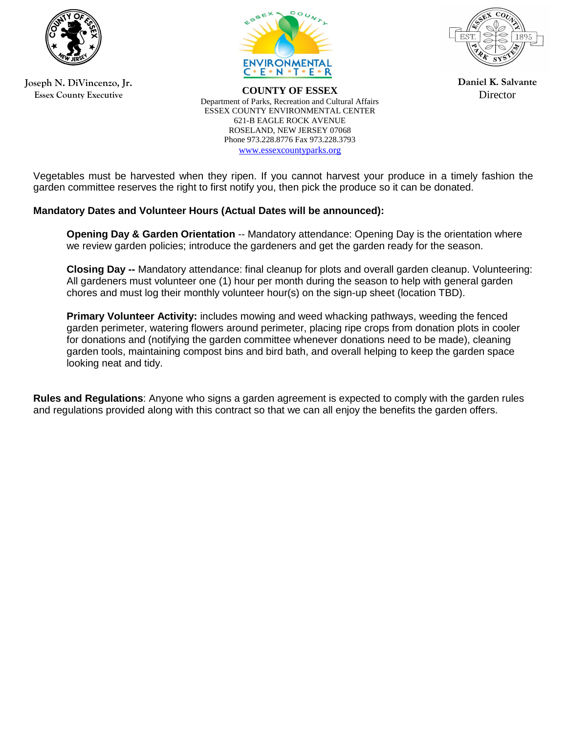

**Joseph N. DiVincenzo, Jr. Essex County Executive**



**COUNTY OF ESSEX** Department of Parks, Recreation and Cultural Affairs ESSEX COUNTY ENVIRONMENTAL CENTER 621-B EAGLE ROCK AVENUE ROSELAND, NEW JERSEY 07068 Phone 973.228.8776 Fax 973.228.3793 [www.essexcountyparks.org](http://www.essexcountyparks.org/)



**Daniel K. Salvante Director** 

Vegetables must be harvested when they ripen. If you cannot harvest your produce in a timely fashion the garden committee reserves the right to first notify you, then pick the produce so it can be donated.

## **Mandatory Dates and Volunteer Hours (Actual Dates will be announced):**

**Opening Day & Garden Orientation** -- Mandatory attendance: Opening Day is the orientation where we review garden policies; introduce the gardeners and get the garden ready for the season.

**Closing Day --** Mandatory attendance: final cleanup for plots and overall garden cleanup. Volunteering: All gardeners must volunteer one (1) hour per month during the season to help with general garden chores and must log their monthly volunteer hour(s) on the sign-up sheet (location TBD).

**Primary Volunteer Activity:** includes mowing and weed whacking pathways, weeding the fenced garden perimeter, watering flowers around perimeter, placing ripe crops from donation plots in cooler for donations and (notifying the garden committee whenever donations need to be made), cleaning garden tools, maintaining compost bins and bird bath, and overall helping to keep the garden space looking neat and tidy.

**Rules and Regulations**: Anyone who signs a garden agreement is expected to comply with the garden rules and regulations provided along with this contract so that we can all enjoy the benefits the garden offers.